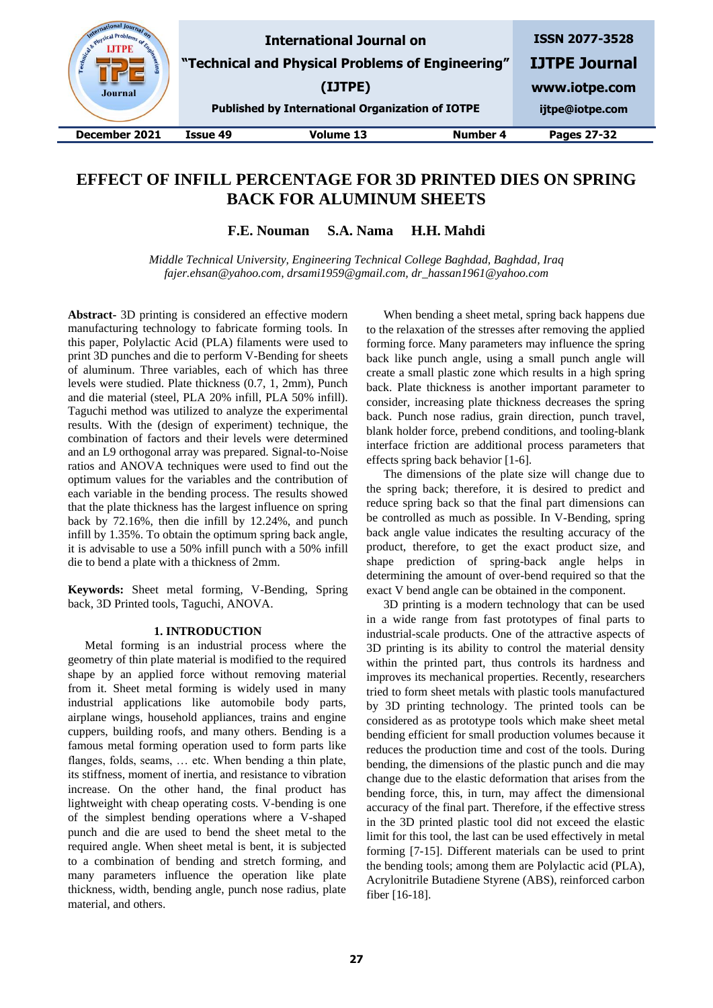| B. Physical Pre-<br><b>ISSN 2077-3528</b><br><b>International Journal on</b><br>Engineer<br>"Technical and Physical Problems of Engineering"<br>(IJTPE)<br><b>Journal</b><br><b>Published by International Organization of IOTPE</b> | <b>IJTPE Journal</b><br>www.iotpe.com<br>ijtpe@iotpe.com |
|--------------------------------------------------------------------------------------------------------------------------------------------------------------------------------------------------------------------------------------|----------------------------------------------------------|
| <b>Volume 13</b><br>Number 4<br>December 2021<br>Issue 49                                                                                                                                                                            | Pages 27-32                                              |

# **EFFECT OF INFILL PERCENTAGE FOR 3D PRINTED DIES ON SPRING BACK FOR ALUMINUM SHEETS**

**F.E. Nouman S.A. Nama H.H. Mahdi**

*Middle Technical University, Engineering Technical College Baghdad, Baghdad, Iraq fajer.ehsan@yahoo.com, drsami1959@gmail.com, dr\_hassan1961@yahoo.com*

**Abstract-** 3D printing is considered an effective modern manufacturing technology to fabricate forming tools. In this paper, Polylactic Acid (PLA) filaments were used to print 3D punches and die to perform V-Bending for sheets of aluminum. Three variables, each of which has three levels were studied. Plate thickness (0.7, 1, 2mm), Punch and die material (steel, PLA 20% infill, PLA 50% infill). Taguchi method was utilized to analyze the experimental results. With the (design of experiment) technique, the combination of factors and their levels were determined and an L9 orthogonal array was prepared. Signal-to-Noise ratios and ANOVA techniques were used to find out the optimum values for the variables and the contribution of each variable in the bending process. The results showed that the plate thickness has the largest influence on spring back by 72.16%, then die infill by 12.24%, and punch infill by 1.35%. To obtain the optimum spring back angle, it is advisable to use a 50% infill punch with a 50% infill die to bend a plate with a thickness of 2mm.

**Keywords:** Sheet metal forming, V-Bending, Spring back, 3D Printed tools, Taguchi, ANOVA.

# **1. INTRODUCTION**

Metal forming is an industrial process where the geometry of thin plate material is modified to the required shape by an applied force without removing material from it. Sheet metal forming is widely used in many industrial applications like automobile body parts, airplane wings, household appliances, trains and engine cuppers, building roofs, and many others. Bending is a famous metal forming operation used to form parts like flanges, folds, seams, … etc. When bending a thin plate, its stiffness, moment of inertia, and resistance to vibration increase. On the other hand, the final product has lightweight with cheap operating costs. V-bending is one of the simplest bending operations where a V-shaped punch and die are used to bend the sheet metal to the required angle. When sheet metal is bent, it is subjected to a combination of bending and stretch forming, and many parameters influence the operation like plate thickness, width, bending angle, punch nose radius, plate material, and others.

When bending a sheet metal, spring back happens due to the relaxation of the stresses after removing the applied forming force. Many parameters may influence the spring back like punch angle, using a small punch angle will create a small plastic zone which results in a high spring back. Plate thickness is another important parameter to consider, increasing plate thickness decreases the spring back. Punch nose radius, grain direction, punch travel, blank holder force, prebend conditions, and tooling-blank interface friction are additional process parameters that effects spring back behavior [1-6].

The dimensions of the plate size will change due to the spring back; therefore, it is desired to predict and reduce spring back so that the final part dimensions can be controlled as much as possible. In V-Bending, spring back angle value indicates the resulting accuracy of the product, therefore, to get the exact product size, and shape prediction of spring-back angle helps in determining the amount of over-bend required so that the exact V bend angle can be obtained in the component.

3D printing is a modern technology that can be used in a wide range from fast prototypes of final parts to industrial-scale products. One of the attractive aspects of 3D printing is its ability to control the material density within the printed part, thus controls its hardness and improves its mechanical properties. Recently, researchers tried to form sheet metals with plastic tools manufactured by 3D printing technology. The printed tools can be considered as as prototype tools which make sheet metal bending efficient for small production volumes because it reduces the production time and cost of the tools. During bending, the dimensions of the plastic punch and die may change due to the elastic deformation that arises from the bending force, this, in turn, may affect the dimensional accuracy of the final part. Therefore, if the effective stress in the 3D printed plastic tool did not exceed the elastic limit for this tool, the last can be used effectively in metal forming [7-15]. Different materials can be used to print the bending tools; among them are Polylactic acid (PLA), Acrylonitrile Butadiene Styrene (ABS), reinforced carbon fiber [16-18].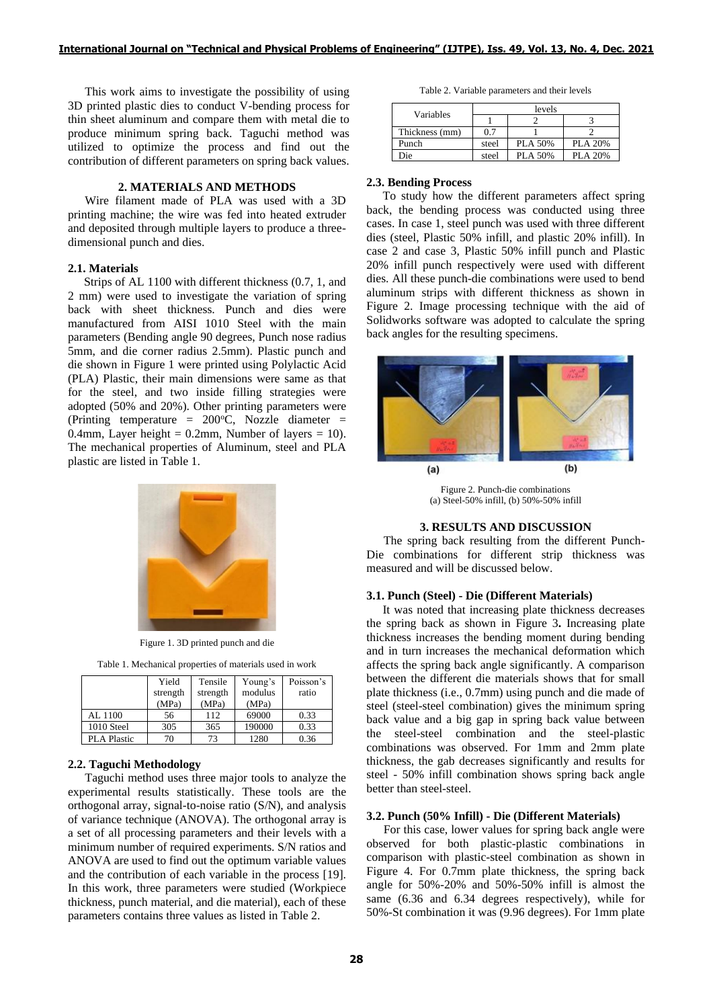This work aims to investigate the possibility of using 3D printed plastic dies to conduct V-bending process for thin sheet aluminum and compare them with metal die to produce minimum spring back. Taguchi method was utilized to optimize the process and find out the contribution of different parameters on spring back values.

### **2. MATERIALS AND METHODS**

Wire filament made of PLA was used with a 3D printing machine; the wire was fed into heated extruder and deposited through multiple layers to produce a threedimensional punch and dies.

### **2.1. Materials**

Strips of AL 1100 with different thickness (0.7, 1, and 2 mm) were used to investigate the variation of spring back with sheet thickness. Punch and dies were manufactured from AISI 1010 Steel with the main parameters (Bending angle 90 degrees, Punch nose radius 5mm, and die corner radius 2.5mm). Plastic punch and die shown in Figure 1 were printed using Polylactic Acid (PLA) Plastic, their main dimensions were same as that for the steel, and two inside filling strategies were adopted (50% and 20%). Other printing parameters were (Printing temperature =  $200^{\circ}$ C, Nozzle diameter = 0.4mm, Layer height = 0.2mm, Number of layers = 10). The mechanical properties of Aluminum, steel and PLA plastic are listed in Table 1.



Figure 1. 3D printed punch and die

Table 1. Mechanical properties of materials used in work

|                    | Yield<br>strength | Tensile<br>strength | Young's<br>modulus | Poisson's<br>ratio |
|--------------------|-------------------|---------------------|--------------------|--------------------|
|                    | (MPa)             | (MPa)               | (MPa)              |                    |
| AL 1100            | 56                | 112                 | 69000              | 0.33               |
| 1010 Steel         | 305               | 365                 | 190000             | 0.33               |
| <b>PLA Plastic</b> | 70                | 73                  | 1280               | 0.36               |

# **2.2. Taguchi Methodology**

Taguchi method uses three major tools to analyze the experimental results statistically. These tools are the orthogonal array, signal-to-noise ratio (S/N), and analysis of variance technique (ANOVA). The orthogonal array is a set of all processing parameters and their levels with a minimum number of required experiments. S/N ratios and ANOVA are used to find out the optimum variable values and the contribution of each variable in the process [19]. In this work, three parameters were studied (Workpiece thickness, punch material, and die material), each of these parameters contains three values as listed in Table 2.

Table 2. Variable parameters and their levels

| Variables      | levels |                |                |  |
|----------------|--------|----------------|----------------|--|
|                |        |                |                |  |
| Thickness (mm) | 0.7    |                |                |  |
| Punch          | steel  | <b>PLA 50%</b> | <b>PLA 20%</b> |  |
| Die            | steel  | <b>PLA 50%</b> | PLA 20%        |  |

#### **2.3. Bending Process**

To study how the different parameters affect spring back, the bending process was conducted using three cases. In case 1, steel punch was used with three different dies (steel, Plastic 50% infill, and plastic 20% infill). In case 2 and case 3, Plastic 50% infill punch and Plastic 20% infill punch respectively were used with different dies. All these punch-die combinations were used to bend aluminum strips with different thickness as shown in Figure 2. Image processing technique with the aid of Solidworks software was adopted to calculate the spring back angles for the resulting specimens.



Figure 2. Punch-die combinations (a) Steel-50% infill, (b) 50%-50% infill

### **3. RESULTS AND DISCUSSION**

The spring back resulting from the different Punch-Die combinations for different strip thickness was measured and will be discussed below.

# **3.1. Punch (Steel) - Die (Different Materials)**

It was noted that increasing plate thickness decreases the spring back as shown in Figure 3**.** Increasing plate thickness increases the bending moment during bending and in turn increases the mechanical deformation which affects the spring back angle significantly. A comparison between the different die materials shows that for small plate thickness (i.e., 0.7mm) using punch and die made of steel (steel-steel combination) gives the minimum spring back value and a big gap in spring back value between the steel-steel combination and the steel-plastic combinations was observed. For 1mm and 2mm plate thickness, the gab decreases significantly and results for steel - 50% infill combination shows spring back angle better than steel-steel.

### **3.2. Punch (50% Infill) - Die (Different Materials)**

For this case, lower values for spring back angle were observed for both plastic-plastic combinations in comparison with plastic-steel combination as shown in Figure 4. For 0.7mm plate thickness, the spring back angle for 50%-20% and 50%-50% infill is almost the same (6.36 and 6.34 degrees respectively), while for 50%-St combination it was (9.96 degrees). For 1mm plate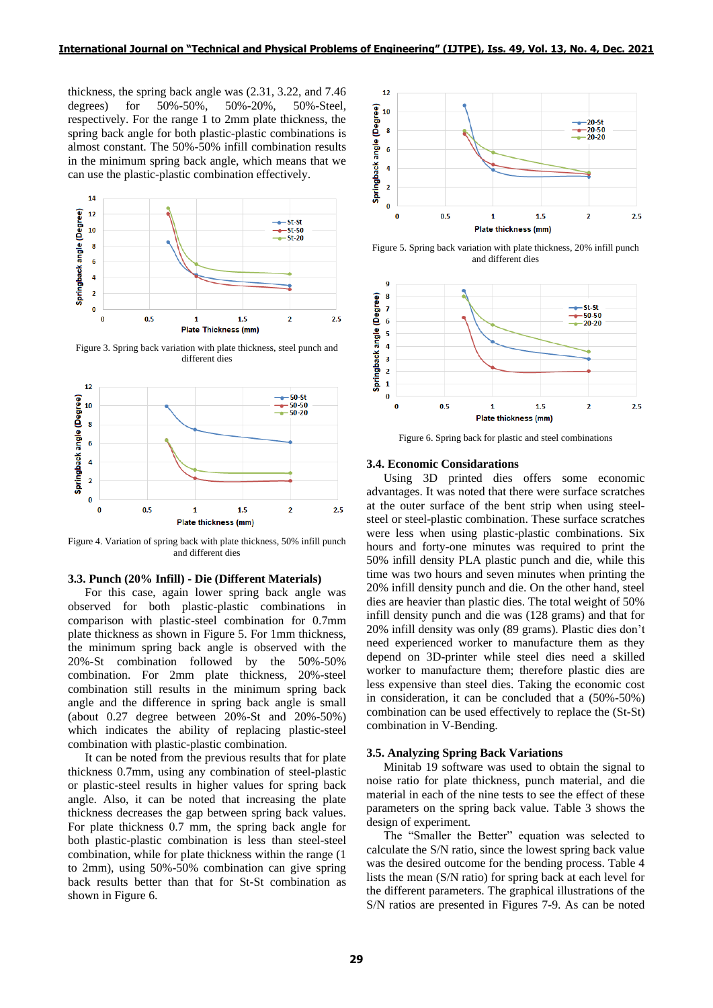thickness, the spring back angle was (2.31, 3.22, and 7.46 degrees) for 50%-50%, 50%-20%, 50%-Steel, respectively. For the range 1 to 2mm plate thickness, the spring back angle for both plastic-plastic combinations is almost constant. The 50%-50% infill combination results in the minimum spring back angle, which means that we can use the plastic-plastic combination effectively.



Figure 3. Spring back variation with plate thickness, steel punch and different dies



Figure 4. Variation of spring back with plate thickness, 50% infill punch and different dies

# **3.3. Punch (20% Infill) - Die (Different Materials)**

For this case, again lower spring back angle was observed for both plastic-plastic combinations in comparison with plastic-steel combination for 0.7mm plate thickness as shown in Figure 5. For 1mm thickness, the minimum spring back angle is observed with the 20%-St combination followed by the 50%-50% combination. For 2mm plate thickness, 20%-steel combination still results in the minimum spring back angle and the difference in spring back angle is small (about 0.27 degree between 20%-St and 20%-50%) which indicates the ability of replacing plastic-steel combination with plastic-plastic combination.

It can be noted from the previous results that for plate thickness 0.7mm, using any combination of steel-plastic or plastic-steel results in higher values for spring back angle. Also, it can be noted that increasing the plate thickness decreases the gap between spring back values. For plate thickness 0.7 mm, the spring back angle for both plastic-plastic combination is less than steel-steel combination, while for plate thickness within the range (1 to 2mm), using 50%-50% combination can give spring back results better than that for St-St combination as shown in Figure 6.



Figure 5. Spring back variation with plate thickness, 20% infill punch and different dies



Figure 6. Spring back for plastic and steel combinations

### **3.4. Economic Considarations**

Using 3D printed dies offers some economic advantages. It was noted that there were surface scratches at the outer surface of the bent strip when using steelsteel or steel-plastic combination. These surface scratches were less when using plastic-plastic combinations. Six hours and forty-one minutes was required to print the 50% infill density PLA plastic punch and die, while this time was two hours and seven minutes when printing the 20% infill density punch and die. On the other hand, steel dies are heavier than plastic dies. The total weight of 50% infill density punch and die was (128 grams) and that for 20% infill density was only (89 grams). Plastic dies don't need experienced worker to manufacture them as they depend on 3D-printer while steel dies need a skilled worker to manufacture them; therefore plastic dies are less expensive than steel dies. Taking the economic cost in consideration, it can be concluded that a (50%-50%) combination can be used effectively to replace the (St-St) combination in V-Bending.

### **3.5. Analyzing Spring Back Variations**

Minitab 19 software was used to obtain the signal to noise ratio for plate thickness, punch material, and die material in each of the nine tests to see the effect of these parameters on the spring back value. Table 3 shows the design of experiment.

The "Smaller the Better" equation was selected to calculate the S/N ratio, since the lowest spring back value was the desired outcome for the bending process. Table 4 lists the mean (S/N ratio) for spring back at each level for the different parameters. The graphical illustrations of the S/N ratios are presented in Figures 7-9. As can be noted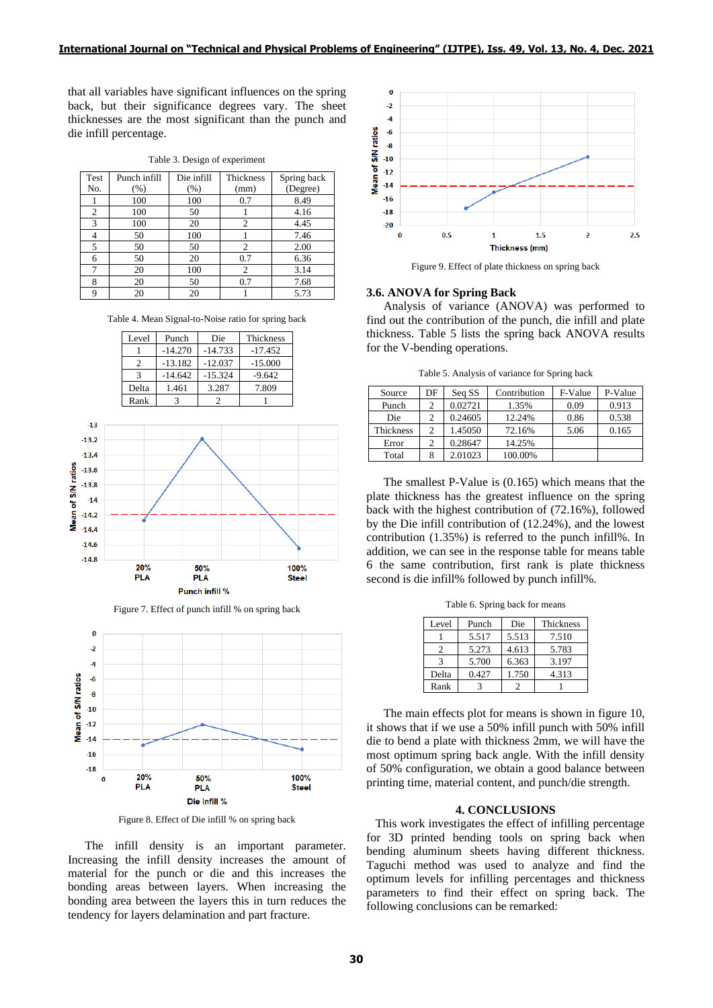that all variables have significant influences on the spring back, but their significance degrees vary. The sheet thicknesses are the most significant than the punch and die infill percentage.

|  |  | Table 3. Design of experiment |
|--|--|-------------------------------|
|  |  |                               |

| Test | Punch infill | Die infill | <b>Thickness</b> | Spring back |
|------|--------------|------------|------------------|-------------|
| No.  | $(\%)$       | (% )       | (mm)             | (Degree)    |
|      | 100          | 100        | 0.7              | 8.49        |
| 2    | 100          | 50         |                  | 4.16        |
| 3    | 100          | 20         | 2                | 4.45        |
| 4    | 50           | 100        |                  | 7.46        |
| 5    | 50           | 50         | $\mathfrak{D}$   | 2.00        |
| 6    | 50           | 20         | 0.7              | 6.36        |
| 7    | 20           | 100        | 2                | 3.14        |
| 8    | 20           | 50         | 0.7              | 7.68        |
| 9    | 20           | 20         |                  | 5.73        |

Table 4. Mean Signal-to-Noise ratio for spring back

| Level | Punch     | Die       | Thickness |
|-------|-----------|-----------|-----------|
|       | $-14.270$ | $-14.733$ | $-17.452$ |
|       | $-13.182$ | $-12.037$ | $-15.000$ |
|       | $-14.642$ | $-15.324$ | $-9.642$  |
| Delta | 1.461     | 3.287     | 7.809     |
| Rank  |           |           |           |







Figure 8. Effect of Die infill % on spring back

The infill density is an important parameter. Increasing the infill density increases the amount of material for the punch or die and this increases the bonding areas between layers. When increasing the bonding area between the layers this in turn reduces the tendency for layers delamination and part fracture.



Figure 9. Effect of plate thickness on spring back

### **3.6. ANOVA for Spring Back**

Analysis of variance (ANOVA) was performed to find out the contribution of the punch, die infill and plate thickness. Table 5 lists the spring back ANOVA results for the V-bending operations.

Table 5. Analysis of variance for Spring back

| Source    | DF | Seq SS  | Contribution | F-Value | P-Value |
|-----------|----|---------|--------------|---------|---------|
| Punch     |    | 0.02721 | 1.35%        | 0.09    | 0.913   |
| Die       |    | 0.24605 | 12.24%       | 0.86    | 0.538   |
| Thickness | 2  | 1.45050 | 72.16%       | 5.06    | 0.165   |
| Error     | 2  | 0.28647 | 14.25%       |         |         |
| Total     |    | 2.01023 | 100.00%      |         |         |

The smallest P-Value is (0.165) which means that the plate thickness has the greatest influence on the spring back with the highest contribution of (72.16%), followed by the Die infill contribution of (12.24%), and the lowest contribution (1.35%) is referred to the punch infill%. In addition, we can see in the response table for means table 6 the same contribution, first rank is plate thickness second is die infill% followed by punch infill%.

Table 6. Spring back for means

| Level | Punch | Die   | <b>Thickness</b> |
|-------|-------|-------|------------------|
|       | 5.517 | 5.513 | 7.510            |
|       | 5.273 | 4.613 | 5.783            |
|       | 5.700 | 6.363 | 3.197            |
| Delta | 0.427 | 1.750 | 4.313            |
| Rank  |       |       |                  |

The main effects plot for means is shown in figure 10, it shows that if we use a 50% infill punch with 50% infill die to bend a plate with thickness 2mm, we will have the most optimum spring back angle. With the infill density of 50% configuration, we obtain a good balance between printing time, material content, and punch/die strength.

# **4. CONCLUSIONS**

 This work investigates the effect of infilling percentage for 3D printed bending tools on spring back when bending aluminum sheets having different thickness. Taguchi method was used to analyze and find the optimum levels for infilling percentages and thickness parameters to find their effect on spring back. The following conclusions can be remarked: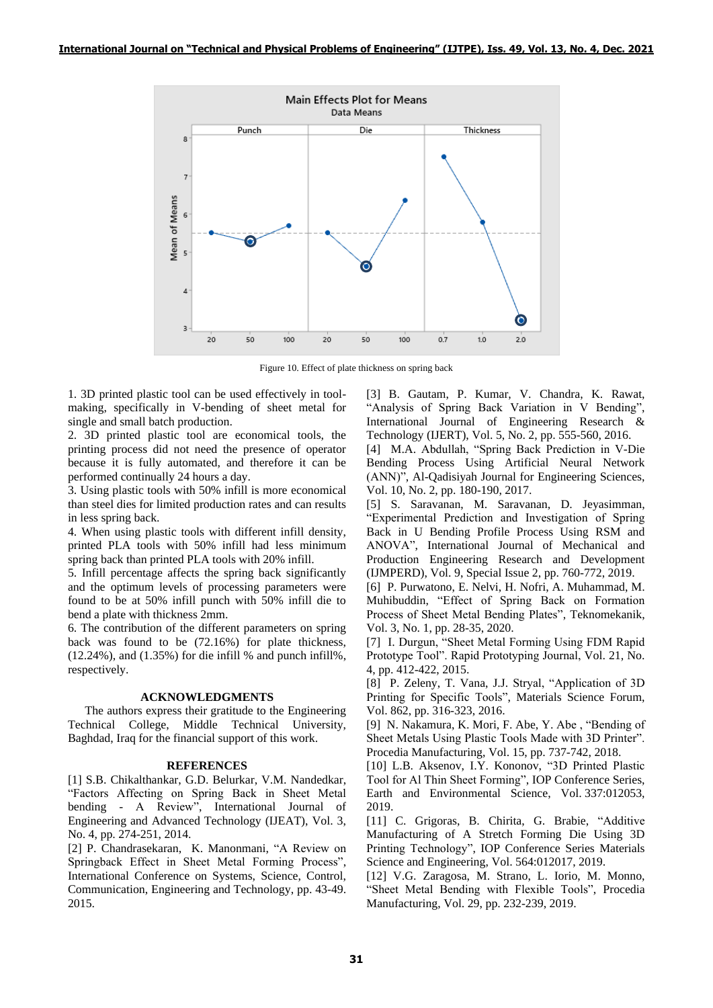

Figure 10. Effect of plate thickness on spring back

1. 3D printed plastic tool can be used effectively in toolmaking, specifically in V-bending of sheet metal for single and small batch production.

2. 3D printed plastic tool are economical tools, the printing process did not need the presence of operator because it is fully automated, and therefore it can be performed continually 24 hours a day.

3. Using plastic tools with 50% infill is more economical than steel dies for limited production rates and can results in less spring back.

4. When using plastic tools with different infill density, printed PLA tools with 50% infill had less minimum spring back than printed PLA tools with 20% infill.

5. Infill percentage affects the spring back significantly and the optimum levels of processing parameters were found to be at 50% infill punch with 50% infill die to bend a plate with thickness 2mm.

6. The contribution of the different parameters on spring back was found to be (72.16%) for plate thickness,  $(12.24\%)$ , and  $(1.35\%)$  for die infill % and punch infill%, respectively.

## **ACKNOWLEDGMENTS**

The authors express their gratitude to the Engineering Technical College, Middle Technical University, Baghdad, Iraq for the financial support of this work.

## **REFERENCES**

[1] S.B. Chikalthankar, G.D. Belurkar, V.M. Nandedkar, "Factors Affecting on Spring Back in Sheet Metal bending - A Review", International Journal of Engineering and Advanced Technology (IJEAT), Vol. 3, No. 4, pp. 274-251, 2014.

[2] P. Chandrasekaran, K. Manonmani, "A Review on Springback Effect in Sheet Metal Forming Process", International Conference on Systems, Science, Control, Communication, Engineering and Technology, pp. 43-49. 2015.

[3] B. Gautam, P. Kumar, V. Chandra, K. Rawat, "Analysis of Spring Back Variation in V Bending", International Journal of Engineering Research & Technology (IJERT), Vol. 5, No. 2, pp. 555-560, 2016.

[4] M.A. Abdullah, "Spring Back Prediction in V-Die Bending Process Using Artificial Neural Network (ANN)", Al-Qadisiyah Journal for Engineering Sciences, Vol. 10, No. 2, pp. 180-190, 2017.

[5] S. Saravanan, M. Saravanan, D. Jeyasimman, "Experimental Prediction and Investigation of Spring Back in U Bending Profile Process Using RSM and ANOVA", International Journal of Mechanical and Production Engineering Research and Development (IJMPERD), Vol. 9, Special Issue 2, pp. 760-772, 2019.

[6] P. Purwatono, E. Nelvi, H. Nofri, A. Muhammad, M. Muhibuddin, "Effect of Spring Back on Formation Process of Sheet Metal Bending Plates", Teknomekanik, Vol. 3, No. 1, pp. 28-35, 2020.

[7] I. Durgun, "Sheet Metal Forming Using FDM Rapid Prototype Tool". Rapid Prototyping Journal, Vol. 21, No. 4, pp. 412-422, 2015.

[8] P. Zeleny, T. Vana, J.J. Stryal, "Application of 3D Printing for Specific Tools", Materials Science Forum, Vol. 862, pp. 316-323, 2016.

[9] N. Nakamura, K. Mori, F. Abe, Y. Abe , "Bending of Sheet Metals Using Plastic Tools Made with 3D Printer". Procedia Manufacturing, Vol. 15, pp. 737-742, 2018.

[10] L.B. Aksenov, I.Y. Kononov, "3D Printed Plastic Tool for Al Thin Sheet Forming", IOP Conference Series, Earth and Environmental Science, Vol. 337:012053, 2019.

[11] C. Grigoras, B. Chirita, G. Brabie, "Additive Manufacturing of A Stretch Forming Die Using 3D Printing Technology", IOP Conference Series Materials Science and Engineering, Vol. 564:012017, 2019.

[12] V.G. Zaragosa, M. Strano, L. Iorio, M. Monno, "Sheet Metal Bending with Flexible Tools", Procedia Manufacturing, Vol. 29, pp. 232-239, 2019.